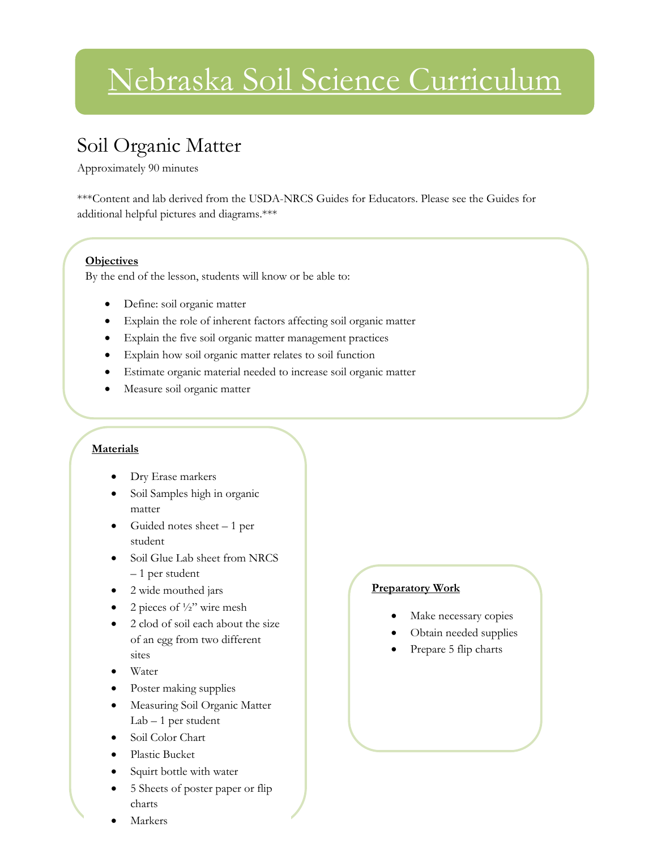# Nebraska Soil Science Curriculum

## Soil Organic Matter

Approximately 90 minutes

\*\*\*Content and lab derived from the USDA-NRCS Guides for Educators. Please see the Guides for additional helpful pictures and diagrams.\*\*\*

#### **Objectives**

By the end of the lesson, students will know or be able to:

- Define: soil organic matter
- Explain the role of inherent factors affecting soil organic matter
- Explain the five soil organic matter management practices
- Explain how soil organic matter relates to soil function
- Estimate organic material needed to increase soil organic matter
- Measure soil organic matter

#### **Materials**

- Dry Erase markers
- Soil Samples high in organic matter
- $\bullet$  Guided notes sheet  $-1$  per student
- Soil Glue Lab sheet from NRCS – 1 per student
- 2 wide mouthed jars
- 2 pieces of ½" wire mesh
- 2 clod of soil each about the size of an egg from two different sites
- Water
- Poster making supplies
- Measuring Soil Organic Matter Lab – 1 per student
- Soil Color Chart
- Plastic Bucket
- Squirt bottle with water
- 5 Sheets of poster paper or flip charts
- Markers

#### **Preparatory Work**

- Make necessary copies
- Obtain needed supplies
- Prepare 5 flip charts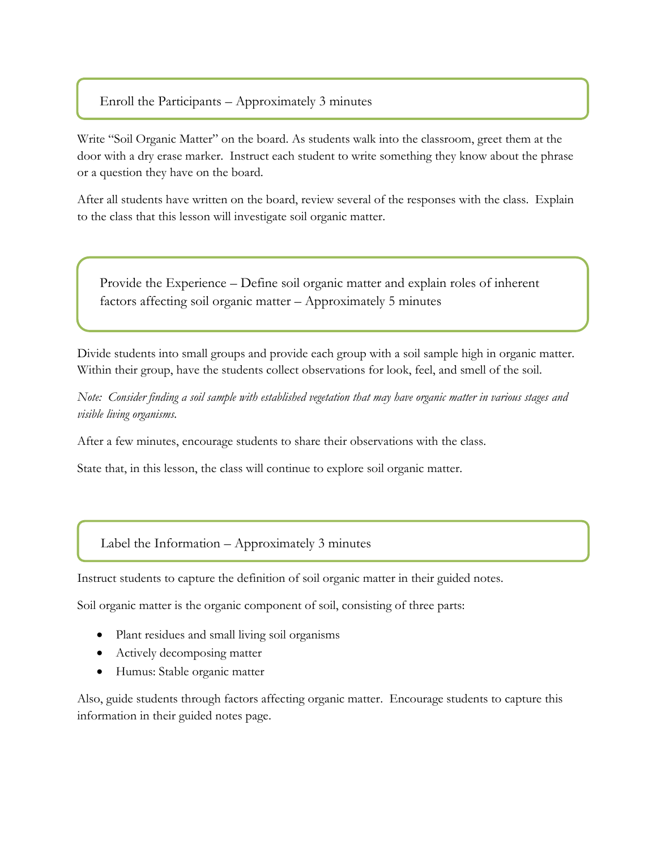Enroll the Participants – Approximately 3 minutes

l

Write "Soil Organic Matter" on the board. As students walk into the classroom, greet them at the door with a dry erase marker. Instruct each student to write something they know about the phrase or a question they have on the board.

After all students have written on the board, review several of the responses with the class. Explain to the class that this lesson will investigate soil organic matter.

Provide the Experience – Define soil organic matter and explain roles of inherent factors affecting soil organic matter – Approximately 5 minutes

Divide students into small groups and provide each group with a soil sample high in organic matter. Within their group, have the students collect observations for look, feel, and smell of the soil.

*Note: Consider finding a soil sample with established vegetation that may have organic matter in various stages and visible living organisms.*

After a few minutes, encourage students to share their observations with the class.

State that, in this lesson, the class will continue to explore soil organic matter.

#### Label the Information – Approximately 3 minutes

Instruct students to capture the definition of soil organic matter in their guided notes.

Soil organic matter is the organic component of soil, consisting of three parts:

- Plant residues and small living soil organisms
- Actively decomposing matter
- Humus: Stable organic matter

Also, guide students through factors affecting organic matter. Encourage students to capture this information in their guided notes page.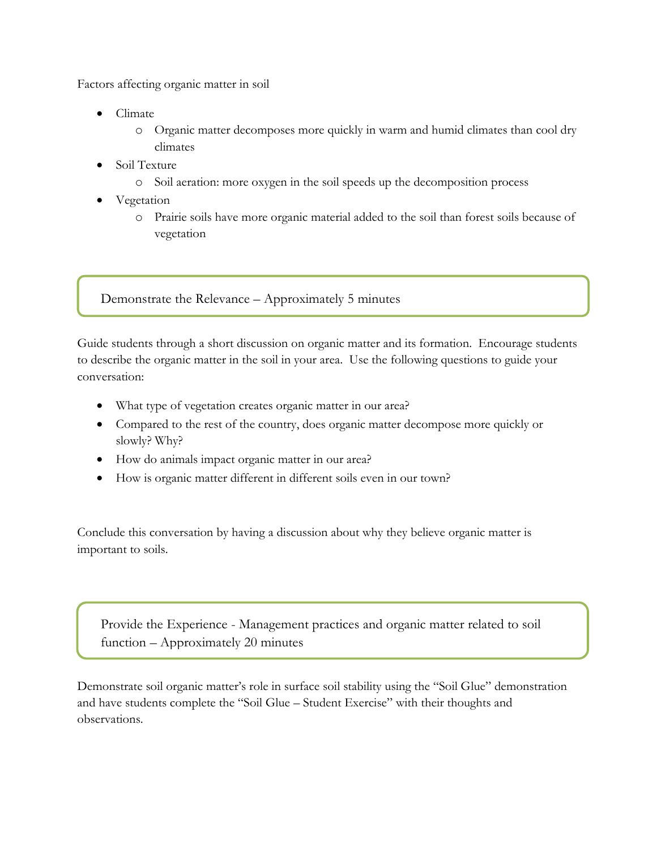Factors affecting organic matter in soil

- Climate
	- o Organic matter decomposes more quickly in warm and humid climates than cool dry climates
- Soil Texture
	- o Soil aeration: more oxygen in the soil speeds up the decomposition process
- Vegetation
	- o Prairie soils have more organic material added to the soil than forest soils because of vegetation

Demonstrate the Relevance – Approximately 5 minutes

Guide students through a short discussion on organic matter and its formation. Encourage students to describe the organic matter in the soil in your area. Use the following questions to guide your conversation:

- What type of vegetation creates organic matter in our area?
- Compared to the rest of the country, does organic matter decompose more quickly or slowly? Why?
- How do animals impact organic matter in our area?
- How is organic matter different in different soils even in our town?

Conclude this conversation by having a discussion about why they believe organic matter is important to soils.

Provide the Experience - Management practices and organic matter related to soil function – Approximately 20 minutes

Demonstrate soil organic matter's role in surface soil stability using the "Soil Glue" demonstration and have students complete the "Soil Glue – Student Exercise" with their thoughts and observations.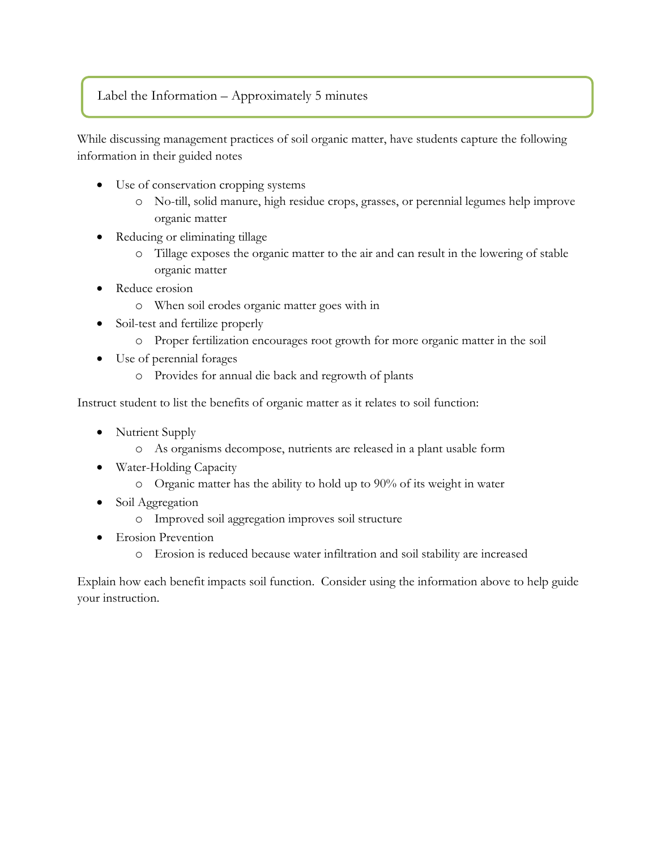#### Label the Information – Approximately 5 minutes

While discussing management practices of soil organic matter, have students capture the following information in their guided notes

- Use of conservation cropping systems
	- o No-till, solid manure, high residue crops, grasses, or perennial legumes help improve organic matter
- Reducing or eliminating tillage
	- o Tillage exposes the organic matter to the air and can result in the lowering of stable organic matter
- Reduce erosion
	- o When soil erodes organic matter goes with in
- Soil-test and fertilize properly
	- o Proper fertilization encourages root growth for more organic matter in the soil
- Use of perennial forages
	- o Provides for annual die back and regrowth of plants

Instruct student to list the benefits of organic matter as it relates to soil function:

- Nutrient Supply
	- o As organisms decompose, nutrients are released in a plant usable form
- Water-Holding Capacity
	- o Organic matter has the ability to hold up to 90% of its weight in water
- Soil Aggregation
	- o Improved soil aggregation improves soil structure
- Erosion Prevention
	- o Erosion is reduced because water infiltration and soil stability are increased

Explain how each benefit impacts soil function. Consider using the information above to help guide your instruction.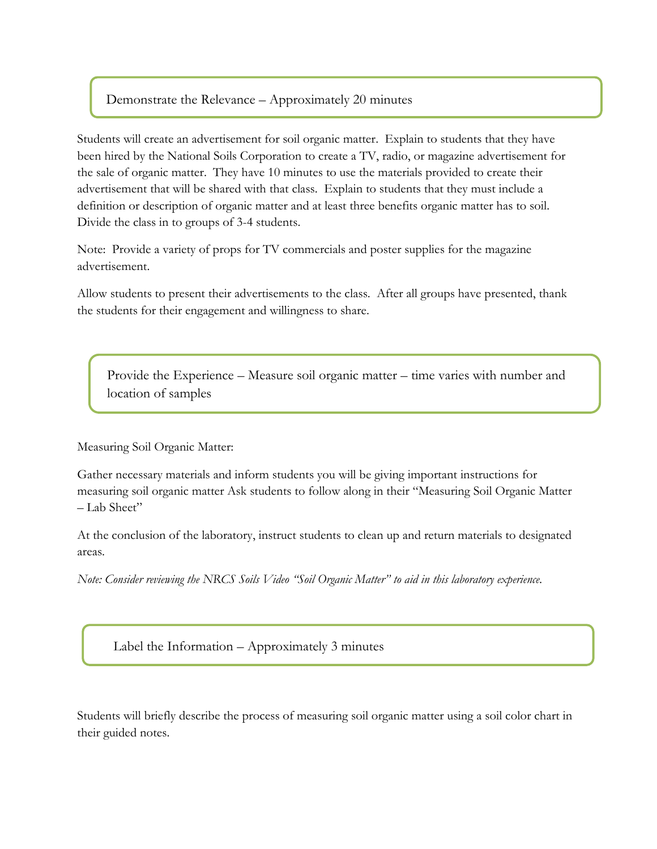#### Demonstrate the Relevance – Approximately 20 minutes

Students will create an advertisement for soil organic matter. Explain to students that they have been hired by the National Soils Corporation to create a TV, radio, or magazine advertisement for the sale of organic matter. They have 10 minutes to use the materials provided to create their advertisement that will be shared with that class. Explain to students that they must include a definition or description of organic matter and at least three benefits organic matter has to soil. Divide the class in to groups of 3-4 students.

Note: Provide a variety of props for TV commercials and poster supplies for the magazine advertisement.

Allow students to present their advertisements to the class. After all groups have presented, thank the students for their engagement and willingness to share.

Provide the Experience – Measure soil organic matter – time varies with number and location of samples

Measuring Soil Organic Matter:

Gather necessary materials and inform students you will be giving important instructions for measuring soil organic matter Ask students to follow along in their "Measuring Soil Organic Matter  $-I$ ab Sheet"

At the conclusion of the laboratory, instruct students to clean up and return materials to designated areas.

*Note: Consider reviewing the NRCS Soils Video "Soil Organic Matter" to aid in this laboratory experience.* 

Label the Information – Approximately 3 minutes

Students will briefly describe the process of measuring soil organic matter using a soil color chart in their guided notes.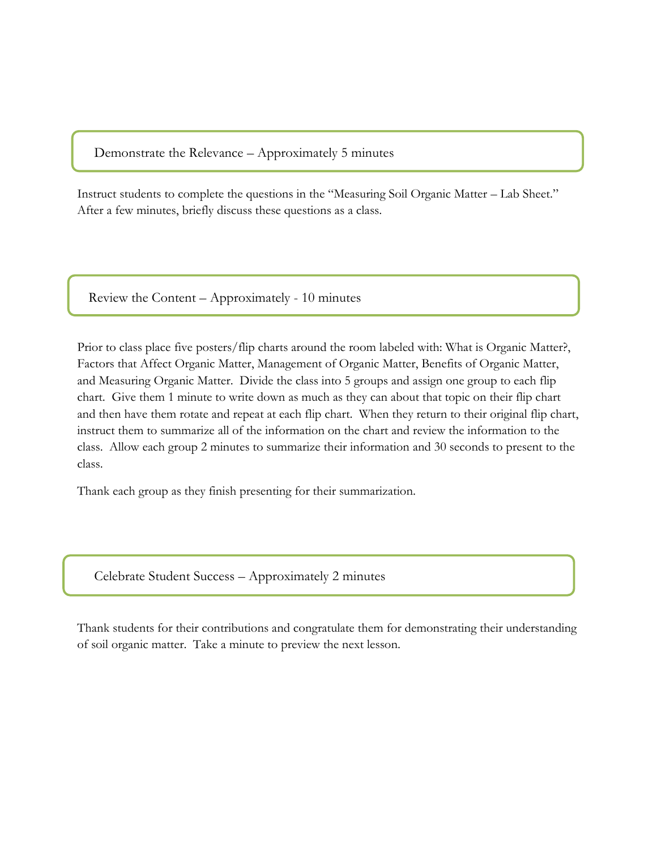Demonstrate the Relevance – Approximately 5 minutes

Instruct students to complete the questions in the "Measuring Soil Organic Matter – Lab Sheet." After a few minutes, briefly discuss these questions as a class.

Review the Content – Approximately - 10 minutes

Prior to class place five posters/flip charts around the room labeled with: What is Organic Matter?, Factors that Affect Organic Matter, Management of Organic Matter, Benefits of Organic Matter, and Measuring Organic Matter. Divide the class into 5 groups and assign one group to each flip chart. Give them 1 minute to write down as much as they can about that topic on their flip chart and then have them rotate and repeat at each flip chart. When they return to their original flip chart, instruct them to summarize all of the information on the chart and review the information to the class. Allow each group 2 minutes to summarize their information and 30 seconds to present to the class.

Thank each group as they finish presenting for their summarization.

Celebrate Student Success – Approximately 2 minutes

Thank students for their contributions and congratulate them for demonstrating their understanding of soil organic matter. Take a minute to preview the next lesson.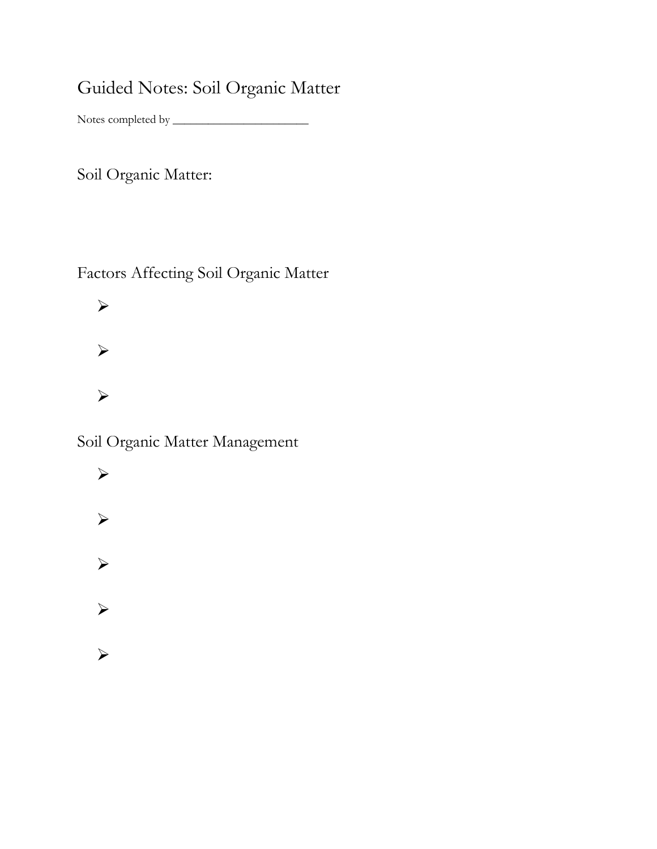## Guided Notes: Soil Organic Matter

Notes completed by \_\_\_\_\_\_\_\_\_\_\_\_\_\_\_\_\_\_\_\_\_\_\_

Soil Organic Matter:

Factors Affecting Soil Organic Matter

 $\blacktriangleright$  $\blacktriangleright$  $\blacktriangleright$ 

Soil Organic Matter Management

 $\blacktriangleright$  $\blacktriangleright$  $\blacktriangleright$  $\blacktriangleright$  $\blacktriangleright$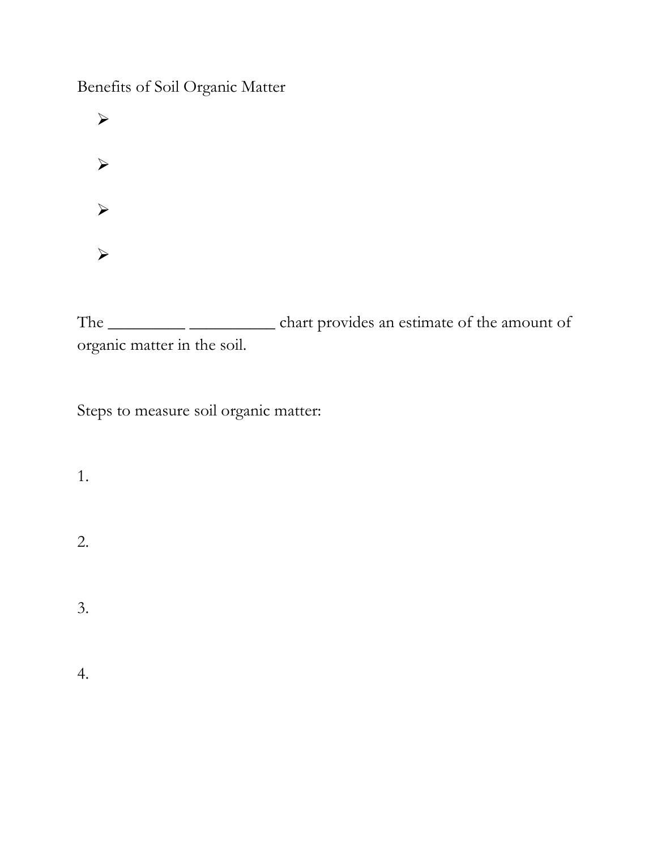Benefits of Soil Organic Matter

 $\blacktriangleright$  $\blacktriangleright$  $\blacktriangleright$  $\blacktriangleright$ 

The \_\_\_\_\_\_\_\_\_ \_\_\_\_\_\_\_\_\_\_ chart provides an estimate of the amount of organic matter in the soil.

Steps to measure soil organic matter:

1.

2.

3.

4.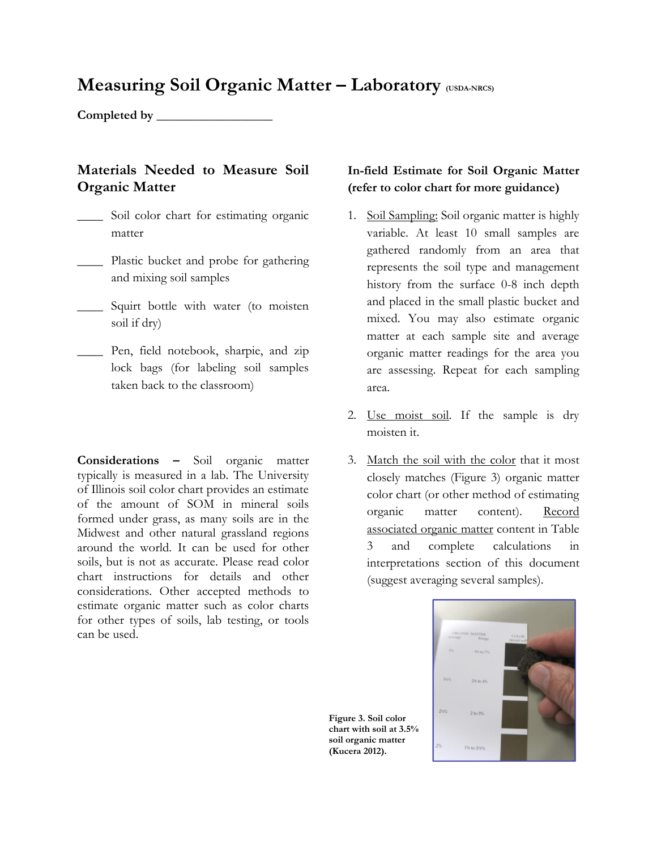### **Measuring Soil Organic Matter – Laboratory (USDA-NRCS)**

**Completed by \_\_\_\_\_\_\_\_\_\_\_\_\_\_\_\_\_\_**

#### **Materials Needed to Measure Soil Organic Matter**

- \_\_\_\_ Soil color chart for estimating organic matter
- \_\_\_\_ Plastic bucket and probe for gathering and mixing soil samples
- \_\_\_\_ Squirt bottle with water (to moisten soil if dry)
- \_\_\_\_ Pen, field notebook, sharpie, and zip lock bags (for labeling soil samples taken back to the classroom)

**Considerations –** Soil organic matter typically is measured in a lab. The University of Illinois soil color chart provides an estimate of the amount of SOM in mineral soils formed under grass, as many soils are in the Midwest and other natural grassland regions around the world. It can be used for other soils, but is not as accurate. Please read color chart instructions for details and other considerations. Other accepted methods to estimate organic matter such as color charts for other types of soils, lab testing, or tools can be used.

#### **In-field Estimate for Soil Organic Matter (refer to color chart for more guidance)**

- 1. Soil Sampling: Soil organic matter is highly variable. At least 10 small samples are gathered randomly from an area that represents the soil type and management history from the surface 0-8 inch depth and placed in the small plastic bucket and mixed. You may also estimate organic matter at each sample site and average organic matter readings for the area you are assessing. Repeat for each sampling area.
- 2. Use moist soil. If the sample is dry moisten it.
- 3. Match the soil with the color that it most closely matches (Figure 3) organic matter color chart (or other method of estimating organic matter content). Record associated organic matter content in Table 3 and complete calculations in interpretations section of this document (suggest averaging several samples).



**Figure 3. Soil color chart with soil at 3.5% soil organic matter (Kucera 2012).**